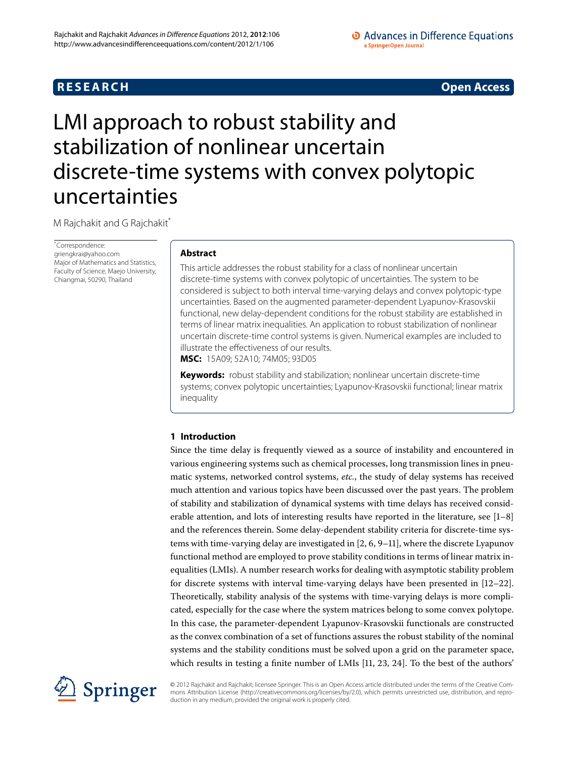## **RESEARCH CONTROL** CONTROL CONTROL CONTROL CONTROL CONTROL CONTROL CONTROL CONTROL CONTROL CONTROL CONTROL CONTROL

# <span id="page-0-0"></span>LMI approach to robust stability and stabilization of nonlinear uncertain discrete-time systems with convex polytopic uncertainties

M Rajchakit and G Rajchakit<sup>\*</sup>

\* Correspondence: [griengkrai@yahoo.com](mailto:griengkrai@yahoo.com) Major of Mathematics and Statistics, Faculty of Science, Maejo University, Chiangmai, 50290, Thailand

### **Abstract**

This article addresses the robust stability for a class of nonlinear uncertain discrete-time systems with convex polytopic of uncertainties. The system to be considered is subject to both interval time-varying delays and convex polytopic-type uncertainties. Based on the augmented parameter-dependent Lyapunov-Krasovskii functional, new delay-dependent conditions for the robust stability are established in terms of linear matrix inequalities. An application to robust stabilization of nonlinear uncertain discrete-time control systems is given. Numerical examples are included to illustrate the effectiveness of our results.

**MSC:** 15A09; 52A10; 74M05; 93D05

**Keywords:** robust stability and stabilization; nonlinear uncertain discrete-time systems; convex polytopic uncertainties; Lyapunov-Krasovskii functional; linear matrix inequality

### **1 Introduction**

Since the time delay is frequently viewed as a source of instability and encountered in various engineering systems such as chemical processes, long transmission lines in pneumatic systems, networked control systems, *etc.*, the study of delay systems has received much attention and various topics have been discussed over the past years. The problem of stability and stabilization of dynamical systems with time delays has received considerable attention, and lots of interesting results have reported in the literature, see  $[1-8]$  $[1-8]$ and the references therein. Some delay-dependent stability criteria for discrete-time systems with time-varying delay are investigated in  $[2, 6, 9-11]$  $[2, 6, 9-11]$  $[2, 6, 9-11]$  $[2, 6, 9-11]$ , where the discrete Lyapunov functional method are employed to prove stability conditions in terms of linear matrix inequalities (LMIs). A number research works for dealing with asymptotic stability problem for discrete systems with interval time-varying delays have been presented in  $[12-22]$  $[12-22]$ . Theoretically, stability analysis of the systems with time-varying delays is more complicated, especially for the case where the system matrices belong to some convex polytope. In this case, the parameter-dependent Lyapunov-Krasovskii functionals are constructed as the convex combination of a set of functions assures the robust stability of the nominal systems and the stability conditions must be solved upon a grid on the parameter space, which results in testing a finite number of LMIs  $[11, 23, 24]$  $[11, 23, 24]$  $[11, 23, 24]$  $[11, 23, 24]$  $[11, 23, 24]$ . To the best of the authors'



© 2012 Rajchakit and Rajchakit; licensee Springer. This is an Open Access article distributed under the terms of the Creative Commons Attribution License (<http://creativecommons.org/licenses/by/2.0>), which permits unrestricted use, distribution, and reproduction in any medium, provided the original work is properly cited.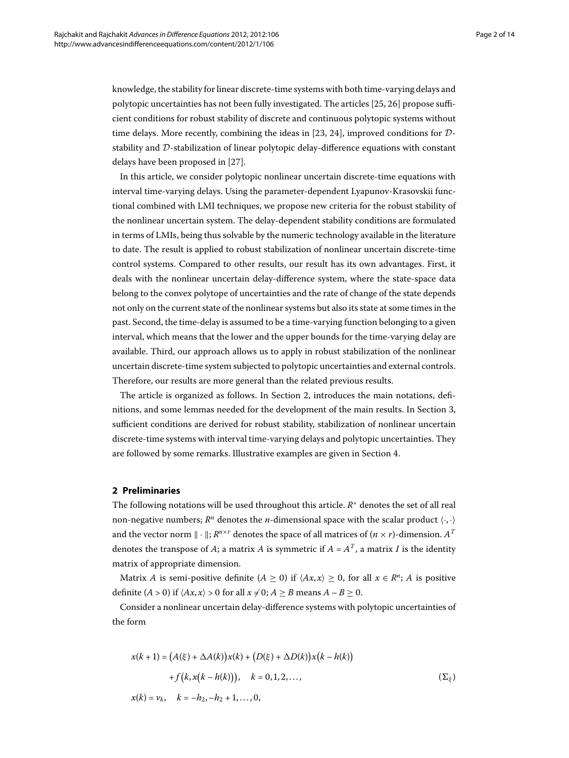knowledge, the stability for linear discrete-time systems with both time-varying delays and polytopic uncertainties has not been fully investigated. The articles [25[,](#page-13-4) 26] propose sufficient conditions for robust stability of discrete and continuous polytopic systems without time delays. More recently, combining the ideas in [\[](#page-13-2)23, 24], improved conditions for  $D$ stability and D-stabilization of linear polytopic delay-difference equations with constant delays have been proposed in [27[\]](#page-13-6).

In this article, we consider polytopic nonlinear uncertain discrete-time equations with interval time-varying delays. Using the parameter-dependent Lyapunov-Krasovskii functional combined with LMI techniques, we propose new criteria for the robust stability of the nonlinear uncertain system. The delay-dependent stability conditions are formulated in terms of LMIs, being thus solvable by the numeric technology available in the literature to date. The result is applied to robust stabilization of nonlinear uncertain discrete-time control systems. Compared to other results, our result has its own advantages. First, it deals with the nonlinear uncertain delay-difference system, where the state-space data belong to the convex polytope of uncertainties and the rate of change of the state depends not only on the current state of the nonlinear systems but also its state at some times in the past. Second, the time-delay is assumed to be a time-varying function belonging to a given interval, which means that the lower and the upper bounds for the time-varying delay are available. Third, our approach allows us to apply in robust stabilization of the nonlinear uncertain discrete-time system subjected to polytopic uncertainties and external controls. Therefore, our results are more general than the related previous results.

<span id="page-1-0"></span>The article is organized as follows. In Section 2[,](#page-1-0) introduces the main notations, defi-nitions[,](#page-3-0) and some lemmas needed for the development of the main results. In Section 3, sufficient conditions are derived for robust stability, stabilization of nonlinear uncertain discrete-time systems with interval time-varying delays and polytopic uncertainties. They are followed by some remarks. Illustrative examples are given in Section 4.

#### **2 Preliminaries**

The following notations will be used throughout this article. *R*<sup>+</sup> denotes the set of all real non-negative numbers;  $R^n$  denotes the *n*-dimensional space with the scalar product  $\langle \cdot, \cdot \rangle$ and the vector norm  $\|\cdot\|$ ;  $R^{n \times r}$  denotes the space of all matrices of  $(n \times r)$ -dimension.  $A^T$ denotes the transpose of *A*; a matrix *A* is symmetric if  $A = A<sup>T</sup>$ , a matrix *I* is the identity matrix of appropriate dimension.

<span id="page-1-1"></span>Matrix *A* is semi-positive definite  $(A \ge 0)$  if  $\langle Ax, x \rangle \ge 0$ , for all  $x \in \mathbb{R}^n$ ; *A* is positive definite  $(A > 0)$  if  $\langle Ax, x \rangle > 0$  for all  $x \neq 0; A \geq B$  means  $A - B \geq 0$ .

Consider a nonlinear uncertain delay-difference systems with polytopic uncertainties of the form

$$
x(k + 1) = (A(\xi) + \Delta A(k))x(k) + (D(\xi) + \Delta D(k))x(k - h(k))
$$
  
+  $f(k, x(k - h(k))), k = 0, 1, 2, ...$ ,  $(\Sigma_{\xi})$ 

$$
x(k) = v_k, \quad k = -h_2, -h_2 + 1, \ldots, 0,
$$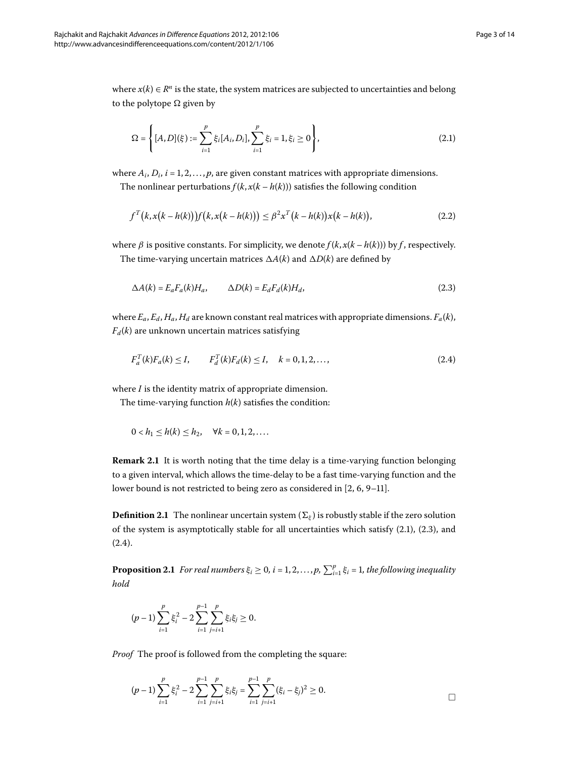where  $x(k) \in R^n$  is the state, the system matrices are subjected to uncertainties and belong to the polytope  $\Omega$  given by

<span id="page-2-0"></span>
$$
\Omega = \left\{ [A, D](\xi) := \sum_{i=1}^{p} \xi_i [A_i, D_i], \sum_{i=1}^{p} \xi_i = 1, \xi_i \ge 0 \right\},\tag{2.1}
$$

where  $A_i$ ,  $D_i$ ,  $i = 1, 2, \ldots, p$ , are given constant matrices with appropriate dimensions. The nonlinear perturbations  $f(k, x(k - h(k)))$  satisfies the following condition

<span id="page-2-1"></span>
$$
f^{T}(k, x(k - h(k)))f(k, x(k - h(k))) \leq \beta^{2} x^{T}(k - h(k))x(k - h(k)),
$$
\n(2.2)

where  $\beta$  is positive constants. For simplicity, we denote  $f(k, x(k - h(k)))$  by  $f$ , respectively. The time-varying uncertain matrices  $\Delta A(k)$  and  $\Delta D(k)$  are defined by

<span id="page-2-2"></span>
$$
\Delta A(k) = E_a F_a(k) H_a, \qquad \Delta D(k) = E_d F_d(k) H_d,
$$
\n(2.3)

where  $E_a$ ,  $E_d$ ,  $H_a$ ,  $H_d$  are known constant real matrices with appropriate dimensions.  $F_a(k)$ ,  $F_d(k)$  are unknown uncertain matrices satisfying

$$
F_a^T(k)F_a(k) \le I, \qquad F_d^T(k)F_d(k) \le I, \quad k = 0, 1, 2, \dots,
$$
\n(2.4)

where *I* is the identity matrix of appropriate dimension.

The time-varying function  $h(k)$  satisfies the condition:

$$
0 < h_1 \le h(k) \le h_2, \quad \forall k = 0, 1, 2, \dots
$$

<span id="page-2-3"></span>**Remark 2.1** It is worth noting that the time delay is a time-varying function belonging to a given interval, which allows the time-delay to be a fast time-varying function and the lower bound is not restricted to being zero as considered in  $[2, 6, 9-11]$  $[2, 6, 9-11]$  $[2, 6, 9-11]$ .

**Definition 2.1** The nonlinear uncertain system ( $\Sigma_{\varepsilon}$ ) is robustly stable if the zero solution of the system is asymptotically stable for all uncertainties which satisfy  $(2.1)$ ,  $(2.3)$ , and  $(2.4).$  $(2.4).$  $(2.4).$ 

**Proposition 2.1** For real numbers  $\xi_i \geq 0$ ,  $i = 1, 2, ..., p$ ,  $\sum_{i=1}^p \xi_i = 1$ , the following inequality *hold*

$$
(p-1)\sum_{i=1}^p \xi_i^2 - 2\sum_{i=1}^{p-1}\sum_{j=i+1}^p \xi_i \xi_j \ge 0.
$$

*Proof* The proof is followed from the completing the square:

$$
(p-1)\sum_{i=1}^p\xi_i^2-2\sum_{i=1}^{p-1}\sum_{j=i+1}^p\xi_i\xi_j=\sum_{i=1}^{p-1}\sum_{j=i+1}^p(\xi_i-\xi_j)^2\geq 0.
$$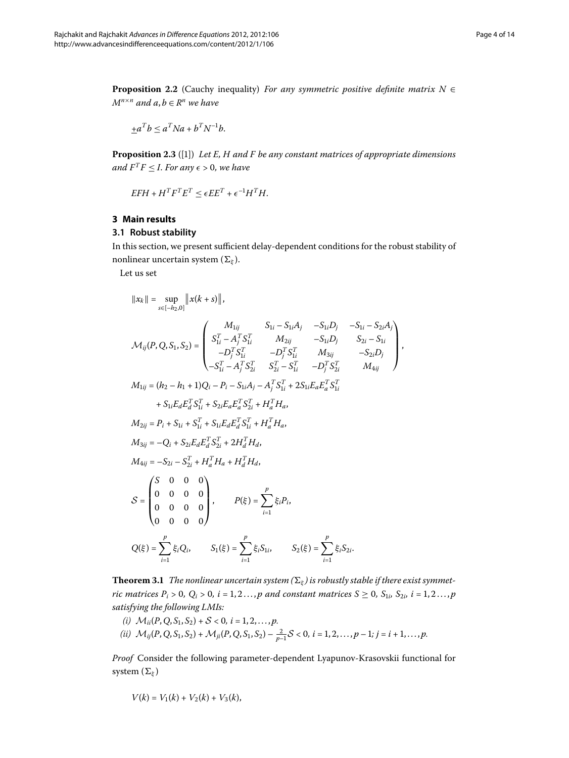<span id="page-3-2"></span><span id="page-3-1"></span>**Proposition 2.2** (Cauchy inequality) *For any symmetric positive definite matrix*  $N \in$ *M*<sup>*n*×*n*</sup> *and a*, *b* ∈ *R*<sup>*n*</sup> *we have* 

$$
\pm a^T b \le a^T N a + b^T N^{-1} b.
$$

<span id="page-3-0"></span>**Proposition 2.3** ([1]) *Let E, H and F be any constant matrices of appropriate dimensions and*  $F^T F \leq I$ . For any  $\epsilon > 0$ , we have

$$
EFH + H^T F^T E^T \le \epsilon E E^T + \epsilon^{-1} H^T H.
$$

#### **3 Main results**

#### **3.1 Robust stability**

In this section, we present sufficient delay-dependent conditions for the robust stability of nonlinear uncertain system (*[ξ](#page-1-1)* ).

Let us set

$$
||x_k|| = \sup_{s \in [-h_2, 0]} ||x(k + s)||,
$$
  
\n
$$
\mathcal{M}_{ij}(P, Q, S_1, S_2) =\n\begin{pmatrix}\nM_{1ij} & S_{1i} - S_{1i}A_j & -S_{1i}D_j & -S_{1i} - S_{2i}A_j \\
S_{1i}^T - A_j^T S_{1i}^T & M_{2ij} & -S_{1i}D_j & S_{2i} - S_{1i} \\
-D_j^T S_{1i}^T & -D_j^T S_{1i}^T & M_{3ij} & -S_{2i}D_j \\
-S_{1i}^T - A_j^T S_{2i}^T & S_{2i}^T - S_{1i}^T & -D_j^T S_{2i}^T & M_{4ij}\n\end{pmatrix},
$$
  
\n
$$
M_{1ij} = (h_2 - h_1 + 1)Q_i - P_i - S_{1i}A_j - A_j^T S_{1i}^T + 2S_{1i}E_aE_a^T S_{1i}^T
$$
  
\n
$$
+ S_{1i}E_aE_a^T S_{1i}^T + S_{2i}E_aE_a^T S_{2i}^T + H_a^T H_a,
$$
  
\n
$$
M_{2ij} = P_i + S_{1i} + S_{1i}^T + S_{1i}E_aE_a^T S_{1i}^T + H_a^T H_a,
$$
  
\n
$$
M_{3ij} = -Q_i + S_{2i}E_aE_a^T S_{2i}^T + 2H_a^T H_a,
$$
  
\n
$$
M_{4ij} = -S_{2i} - S_{2i}^T + H_a^T H_a + H_a^T H_a,
$$
  
\n
$$
S =\n\begin{pmatrix}\nS & 0 & 0 & 0 \\
0 & 0 & 0 & 0 \\
0 & 0 & 0 & 0 \\
0 & 0 & 0 & 0\n\end{pmatrix}, \qquad P(\xi) = \sum_{i=1}^p \xi_i P_i,
$$
  
\n
$$
S_2(\xi) = \sum_{i=1}^p \xi_i S_{2i} , \qquad S_1(\xi) = \sum_{i=1}^p \xi_i S_{1i} , \qquad S_2(\xi) = \sum_{i=1}^p \xi_i S_{2i}.
$$

<span id="page-3-3"></span>**Theorem 3.1** The nonlinear uncertain system  $(\Sigma_{\xi})$  is robustly stable if there exist symmet*ric matrices P<sub>i</sub>* > 0,  $Q_i$  > 0,  $i = 1, 2 \ldots, p$  and constant matrices  $S \ge 0$ ,  $S_{1i}$ ,  $S_{2i}$ ,  $i = 1, 2 \ldots, p$ *satisfying the following LMIs:*

(i) 
$$
\mathcal{M}_{ii}(P, Q, S_1, S_2) + S < 0, \, i = 1, 2, \ldots, p.
$$
  
\n(ii)  $\mathcal{M}_{ij}(P, Q, S_1, S_2) + \mathcal{M}_{ji}(P, Q, S_1, S_2) - \frac{2}{p-1}S < 0, \, i = 1, 2, \ldots, p-1; \, j = i+1, \ldots, p.$ 

*Proof* Consider the following parameter-dependent Lyapunov-Krasovskii functional for system (*[ξ](#page-1-1)* )

$$
V(k) = V_1(k) + V_2(k) + V_3(k),
$$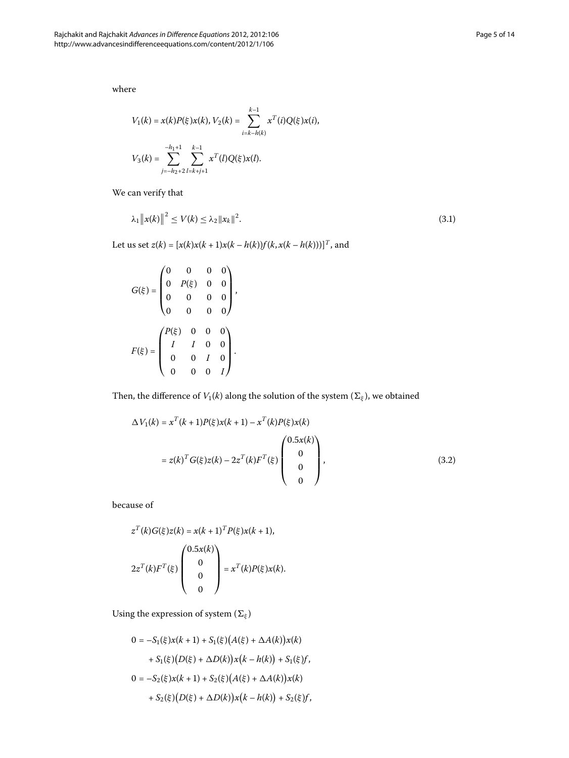where

<span id="page-4-1"></span>
$$
V_1(k) = x(k)P(\xi)x(k), V_2(k) = \sum_{i=k-h(k)}^{k-1} x^{T}(i)Q(\xi)x(i),
$$
  

$$
V_3(k) = \sum_{j=-h_2+2}^{-h_1+1} \sum_{l=k+j+1}^{k-1} x^{T}(l)Q(\xi)x(l).
$$

We can verify that

$$
\lambda_1 \|x(k)\|^2 \le V(k) \le \lambda_2 \|x_k\|^2. \tag{3.1}
$$

Let us set  $z(k) = [x(k)x(k + 1)x(k - h(k))f(k, x(k - h(k)))]^T$ , and

$$
G(\xi) = \begin{pmatrix} 0 & 0 & 0 & 0 \\ 0 & P(\xi) & 0 & 0 \\ 0 & 0 & 0 & 0 \\ 0 & 0 & 0 & 0 \end{pmatrix},
$$

$$
F(\xi) = \begin{pmatrix} P(\xi) & 0 & 0 & 0 \\ I & I & 0 & 0 \\ 0 & 0 & I & 0 \\ 0 & 0 & 0 & I \end{pmatrix}.
$$

<span id="page-4-0"></span>Then, the difference of *V*<sub>1</sub>(*k*) along the solution of the system ( $\Sigma_{\xi}$ ), we obtained

$$
\Delta V_1(k) = x^T(k+1)P(\xi)x(k+1) - x^T(k)P(\xi)x(k)
$$
  
=  $z(k)^T G(\xi)z(k) - 2z^T(k)F^T(\xi)\begin{pmatrix}0.5x(k)\\0\\0\\0\\0\end{pmatrix},$  (3.2)

because of

$$
z^{T}(k)G(\xi)z(k) = x(k+1)^{T}P(\xi)x(k+1),
$$
  

$$
2z^{T}(k)F^{T}(\xi)\begin{pmatrix}0.5x(k)\\0\\0\\0\\0\end{pmatrix} = x^{T}(k)P(\xi)x(k).
$$

Using the expression of system  $(\Sigma_{\xi})$ 

$$
0 = -S_1(\xi)x(k+1) + S_1(\xi)(A(\xi) + \Delta A(k))x(k)
$$
  
+ S\_1(\xi)(D(\xi) + \Delta D(k))x(k - h(k)) + S\_1(\xi)f,  

$$
0 = -S_2(\xi)x(k+1) + S_2(\xi)(A(\xi) + \Delta A(k))x(k)
$$
  
+ S\_2(\xi)(D(\xi) + \Delta D(k))x(k - h(k)) + S\_2(\xi)f,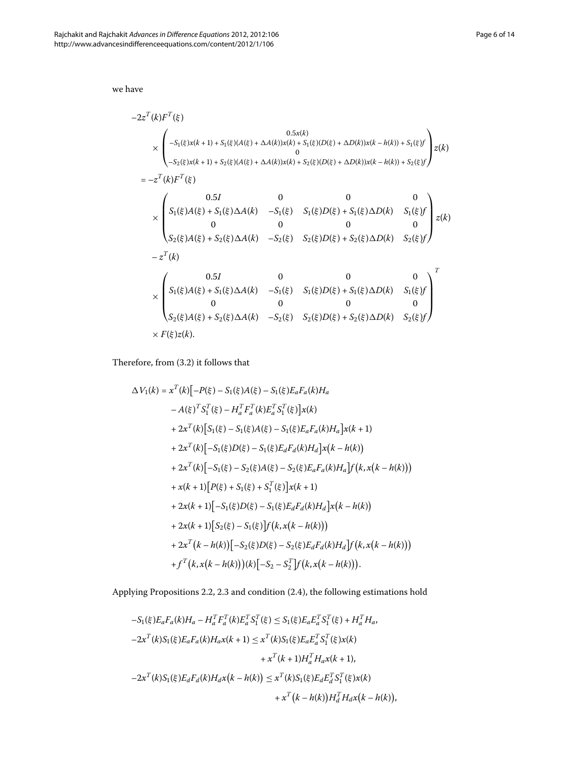we have

$$
-2z^{T}(k)F^{T}(\xi)
$$
  
\n
$$
\times \begin{pmatrix} 0.5x(k) & 0.5x(k) \\ -S_{1}(\xi)x(k+1) + S_{1}(\xi)(A(\xi) + \Delta A(k))x(k) + S_{1}(\xi)(D(\xi) + \Delta D(k))x(k - h(k)) + S_{1}(\xi)f \\ 0 & 0 & 0 \\ -S_{2}(\xi)x(k+1) + S_{2}(\xi)(A(\xi) + \Delta A(k))x(k) + S_{2}(\xi)(D(\xi) + \Delta D(k))x(k - h(k)) + S_{2}(\xi)f \end{pmatrix} z(k)
$$
  
\n
$$
= -z^{T}(k)F^{T}(\xi)
$$
  
\n
$$
\times \begin{pmatrix} 0.5I & 0 & 0 & 0 \\ S_{1}(\xi)A(\xi) + S_{1}(\xi)\Delta A(k) & -S_{1}(\xi) & S_{1}(\xi)D(\xi) + S_{1}(\xi)\Delta D(k) & S_{1}(\xi)f \\ 0 & 0 & 0 & 0 \\ S_{2}(\xi)A(\xi) + S_{2}(\xi)\Delta A(k) & -S_{2}(\xi) & S_{2}(\xi)D(\xi) + S_{2}(\xi)\Delta D(k) & S_{2}(\xi)f \end{pmatrix} z(k)
$$
  
\n
$$
-z^{T}(k)
$$
  
\n
$$
\times \begin{pmatrix} 0.5I & 0 & 0 & 0 \\ S_{1}(\xi)A(\xi) + S_{1}(\xi)\Delta A(k) & -S_{1}(\xi) & S_{1}(\xi)D(\xi) + S_{1}(\xi)\Delta D(k) & S_{1}(\xi)f \\ 0 & 0 & 0 & 0 \\ S_{2}(\xi)A(\xi) + S_{2}(\xi)\Delta A(k) & -S_{2}(\xi) & S_{2}(\xi)D(\xi) + S_{2}(\xi)\Delta D(k) & S_{2}(\xi)f \end{pmatrix}^{T}
$$
  
\n
$$
\times F(\xi)z(k).
$$

Therefore, from  $(3.2)$  it follows that

$$
\Delta V_{1}(k) = x^{T}(k)\left[-P(\xi) - S_{1}(\xi)A(\xi) - S_{1}(\xi)E_{a}F_{a}(k)H_{a}\right.\n- A(\xi)^{T}S_{1}^{T}(\xi) - H_{a}^{T}F_{a}^{T}(k)E_{a}^{T}S_{1}^{T}(\xi)\right]x(k)\n+ 2x^{T}(k)\left[S_{1}(\xi) - S_{1}(\xi)A(\xi) - S_{1}(\xi)E_{a}F_{a}(k)H_{a}\right]x(k + 1)\n+ 2x^{T}(k)\left[-S_{1}(\xi)D(\xi) - S_{1}(\xi)E_{a}F_{a}(k)H_{d}\right]x(k - h(k))\n+ 2x^{T}(k)\left[-S_{1}(\xi) - S_{2}(\xi)A(\xi) - S_{2}(\xi)E_{a}F_{a}(k)H_{a}\right]f(k, x(k - h(k)))\n+ x(k + 1)\left[P(\xi) + S_{1}(\xi) + S_{1}^{T}(\xi)\right]x(k + 1)\n+ 2x(k + 1)\left[-S_{1}(\xi)D(\xi) - S_{1}(\xi)E_{a}F_{a}(k)H_{a}\right]x(k - h(k))\n+ 2x(k + 1)\left[S_{2}(\xi) - S_{1}(\xi)\right]f(k, x(k - h(k)))\n+ 2x^{T}(k - h(k))\left[-S_{2}(\xi)D(\xi) - S_{2}(\xi)E_{a}F_{a}(k)H_{a}\right]f(k, x(k - h(k)))\n+ f^{T}(k, x(k - h(k)))(k)\left[-S_{2} - S_{2}^{T}\right]f(k, x(k - h(k))).
$$

Applying Propositions 2[.](#page-3-2)2, 2.3 and condition (2.4), the following estimations hold

$$
-S_{1}(\xi)E_{a}F_{a}(k)H_{a} - H_{a}^{T}F_{a}^{T}(k)E_{a}^{T}S_{1}^{T}(\xi) \leq S_{1}(\xi)E_{a}E_{a}^{T}S_{1}^{T}(\xi) + H_{a}^{T}H_{a},
$$
  
\n
$$
-2x^{T}(k)S_{1}(\xi)E_{a}F_{a}(k)H_{a}x(k+1) \leq x^{T}(k)S_{1}(\xi)E_{a}E_{a}^{T}S_{1}^{T}(\xi)x(k)
$$
  
\n
$$
+x^{T}(k+1)H_{a}^{T}H_{a}x(k+1),
$$
  
\n
$$
-2x^{T}(k)S_{1}(\xi)E_{a}F_{a}(k)H_{a}x(k-h(k)) \leq x^{T}(k)S_{1}(\xi)E_{a}E_{a}^{T}S_{1}^{T}(\xi)x(k)
$$
  
\n
$$
+x^{T}(k-h(k))H_{a}^{T}H_{a}x(k-h(k)),
$$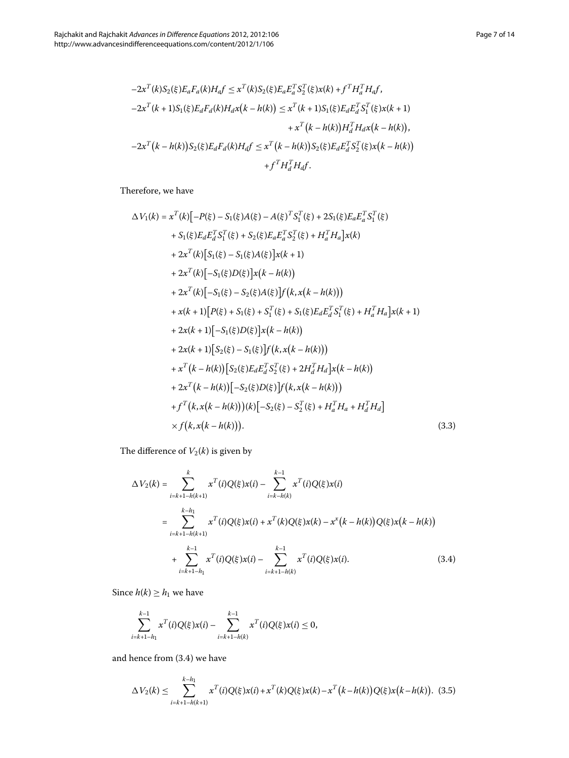<span id="page-6-2"></span>
$$
-2x^{T}(k)S_{2}(\xi)E_{a}F_{a}(k)H_{a}f \leq x^{T}(k)S_{2}(\xi)E_{a}E_{a}^{T}S_{2}^{T}(\xi)x(k) + f^{T}H_{a}^{T}H_{a}f,
$$
  
\n
$$
-2x^{T}(k+1)S_{1}(\xi)E_{d}F_{d}(k)H_{d}x(k-h(k)) \leq x^{T}(k+1)S_{1}(\xi)E_{d}E_{d}^{T}S_{1}^{T}(\xi)x(k+1)
$$
  
\n
$$
+x^{T}(k-h(k))H_{d}^{T}H_{d}x(k-h(k)),
$$
  
\n
$$
-2x^{T}(k-h(k))S_{2}(\xi)E_{d}F_{d}(k)H_{d}f \leq x^{T}(k-h(k))S_{2}(\xi)E_{d}E_{d}^{T}S_{2}^{T}(\xi)x(k-h(k))
$$
  
\n
$$
+f^{T}H_{d}^{T}H_{d}f.
$$

Therefore, we have

$$
\Delta V_{1}(k) = x^{T}(k)[-P(\xi)-S_{1}(\xi)A(\xi)-A(\xi)^{T}S_{1}^{T}(\xi)+2S_{1}(\xi)E_{a}E_{a}^{T}S_{1}^{T}(\xi) \n+ S_{1}(\xi)E_{d}E_{a}^{T}S_{1}^{T}(\xi)+S_{2}(\xi)E_{a}E_{a}^{T}S_{2}^{T}(\xi)+H_{a}^{T}H_{a}]x(k) \n+ 2x^{T}(k)[S_{1}(\xi)-S_{1}(\xi)A(\xi)]x(k+1) \n+ 2x^{T}(k)[-S_{1}(\xi)-S_{2}(\xi)A(\xi)]f(k, x(k-h(k))) \n+ 2x^{T}(k)[-S_{1}(\xi)-S_{2}(\xi)A(\xi)]f(k, x(k-h(k))) \n+ x(k+1)[P(\xi)+S_{1}(\xi)+S_{1}^{T}(\xi)+S_{1}(\xi)E_{d}E_{d}^{T}S_{1}^{T}(\xi)+H_{a}^{T}H_{a}]x(k+1) \n+ 2x(k+1)[-S_{1}(\xi)D(\xi)]x(k-h(k)) \n+ 2x(k+1)[S_{2}(\xi)-S_{1}(\xi)]f(k, x(k-h(k))) \n+ x^{T}(k-h(k))[S_{2}(\xi)E_{d}E_{d}^{T}S_{2}^{T}(\xi)+2H_{d}^{T}H_{d}]x(k-h(k)) \n+ 2x^{T}(k-h(k))[S_{2}(\xi)E_{d}E_{d}^{T}S_{2}^{T}(\xi)+2H_{d}^{T}H_{d}]x(k-h(k)) \n+ f^{T}(k, x(k-h(k)))(k)[-S_{2}(\xi)-S_{2}^{T}(\xi)+H_{a}^{T}H_{a}+H_{d}^{T}H_{d}] \n\times f(k, x(k-h(k))).
$$
 (3.3)

<span id="page-6-0"></span>The difference of  $V_2(k)$  is given by

$$
\Delta V_2(k) = \sum_{i=k+1-h(k+1)}^{k} x^{T}(i)Q(\xi)x(i) - \sum_{i=k-h(k)}^{k-1} x^{T}(i)Q(\xi)x(i)
$$
  

$$
= \sum_{i=k+1-h(k+1)}^{k-h_1} x^{T}(i)Q(\xi)x(i) + x^{T}(k)Q(\xi)x(k) - x^{x}(k-h(k))Q(\xi)x(k-h(k))
$$
  

$$
+ \sum_{i=k+1-h_1}^{k-1} x^{T}(i)Q(\xi)x(i) - \sum_{i=k+1-h(k)}^{k-1} x^{T}(i)Q(\xi)x(i).
$$
 (3.4)

Since  $h(k) \geq h_1$  we have

<span id="page-6-1"></span>
$$
\sum_{i=k+1-h_1}^{k-1} x^T(i)Q(\xi)x(i) - \sum_{i=k+1-h(k)}^{k-1} x^T(i)Q(\xi)x(i) \leq 0,
$$

and hence from  $(3.4)$  $(3.4)$  $(3.4)$  we have

$$
\Delta V_2(k) \leq \sum_{i=k+1-h(k+1)}^{k-h_1} x^T(i)Q(\xi)x(i) + x^T(k)Q(\xi)x(k) - x^T(k-h(k))Q(\xi)x(k-h(k)).
$$
 (3.5)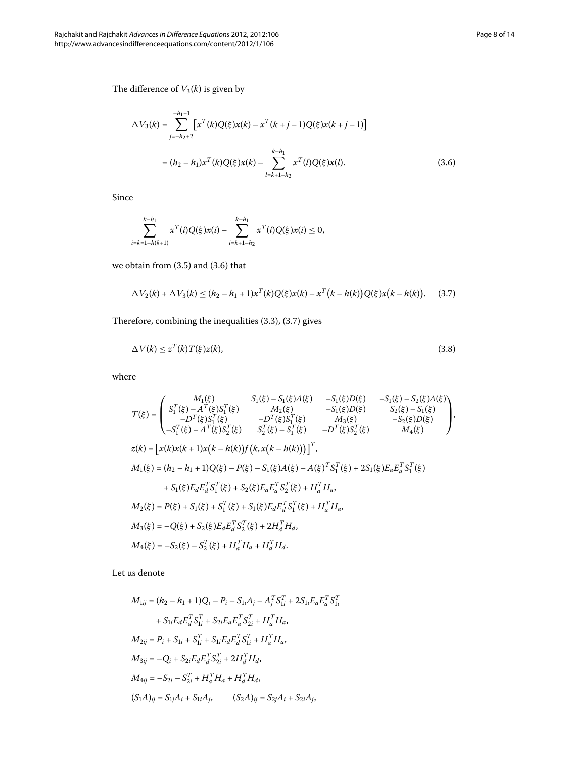<span id="page-7-0"></span>
$$
\Delta V_3(k) = \sum_{j=-h_2+2}^{-h_1+1} \left[ x^T(k)Q(\xi)x(k) - x^T(k+j-1)Q(\xi)x(k+j-1) \right]
$$
  
=  $(h_2 - h_1)x^T(k)Q(\xi)x(k) - \sum_{l=k+1-h_2}^{k-h_1} x^T(l)Q(\xi)x(l).$  (3.6)

Since

<span id="page-7-1"></span>
$$
\sum_{i=k+1-h(k+1)}^{k-h_1} x^T(i)Q(\xi)x(i) - \sum_{i=k+1-h_2}^{k-h_1} x^T(i)Q(\xi)x(i) \leq 0,
$$

we obtain from  $(3.5)$  and  $(3.6)$  that

<span id="page-7-2"></span>
$$
\Delta V_2(k) + \Delta V_3(k) \le (h_2 - h_1 + 1)x^T(k)Q(\xi)x(k) - x^T(k - h(k))Q(\xi)x(k - h(k)). \tag{3.7}
$$

Therefore, combining the inequalities  $(3.3)$ ,  $(3.7)$  gives

$$
\Delta V(k) \le z^T(k)T(\xi)z(k),\tag{3.8}
$$

where

$$
T(\xi) = \begin{pmatrix} M_1(\xi) & S_1(\xi) - S_1(\xi)A(\xi) & -S_1(\xi)D(\xi) & -S_1(\xi) - S_2(\xi)A(\xi) \\ S_1^T(\xi) - A^T(\xi)S_1^T(\xi) & M_2(\xi) & -S_1(\xi)D(\xi) & S_2(\xi) - S_1(\xi) \\ -D^T(\xi)S_1^T(\xi) & -D^T(\xi)S_1^T(\xi) & M_3(\xi) & -S_2(\xi)D(\xi) \\ -S_1^T(\xi) - A^T(\xi)S_2^T(\xi) & S_2^T(\xi) - S_1^T(\xi) & -D^T(\xi)S_2^T(\xi) & M_4(\xi) \end{pmatrix},
$$
  
\n
$$
z(k) = \begin{bmatrix} x(k)x(k+1)x(k-h(k))f(k, x(k-h(k))) \end{bmatrix}^T,
$$
  
\n
$$
M_1(\xi) = (h_2 - h_1 + 1)Q(\xi) - P(\xi) - S_1(\xi)A(\xi) - A(\xi)^T S_1^T(\xi) + 2S_1(\xi)E_aE_a^T S_1^T(\xi) + S_1(\xi)E_dE_d^T S_1^T(\xi) + S_2(\xi)E_dE_d^T S_1^T(\xi) + H_a^T H_a,
$$
  
\n
$$
M_2(\xi) = P(\xi) + S_1(\xi) + S_1^T(\xi) + S_1(\xi)E_dE_d^T S_1^T(\xi) + H_a^T H_a,
$$
  
\n
$$
M_3(\xi) = -Q(\xi) + S_2(\xi)E_dE_d^T S_2^T(\xi) + 2H_d^T H_a,
$$
  
\n
$$
M_4(\xi) = -S_2(\xi) - S_2^T(\xi) + H_a^T H_a + H_d^T H_a.
$$

Let us denote

$$
M_{1ij} = (h_2 - h_1 + 1)Q_i - P_i - S_{1i}A_j - A_j^T S_{1i}^T + 2S_{1i}E_aE_a^T S_{1i}^T
$$
  
+  $S_{1i}E_dE_d^T S_{1i}^T + S_{2i}E_aE_a^T S_{2i}^T + H_a^T H_a$ ,  

$$
M_{2ij} = P_i + S_{1i} + S_{1i}^T + S_{1i}E_dE_d^T S_{1i}^T + H_a^T H_a
$$
,  

$$
M_{3ij} = -Q_i + S_{2i}E_dE_d^T S_{2i}^T + 2H_d^T H_a
$$
,  

$$
M_{4ij} = -S_{2i} - S_{2i}^T + H_a^T H_a + H_d^T H_a
$$
,  

$$
(S_1A)_{ij} = S_{1j}A_i + S_{1i}A_j
$$
, 
$$
(S_2A)_{ij} = S_{2j}A_i + S_{2i}A_j
$$
,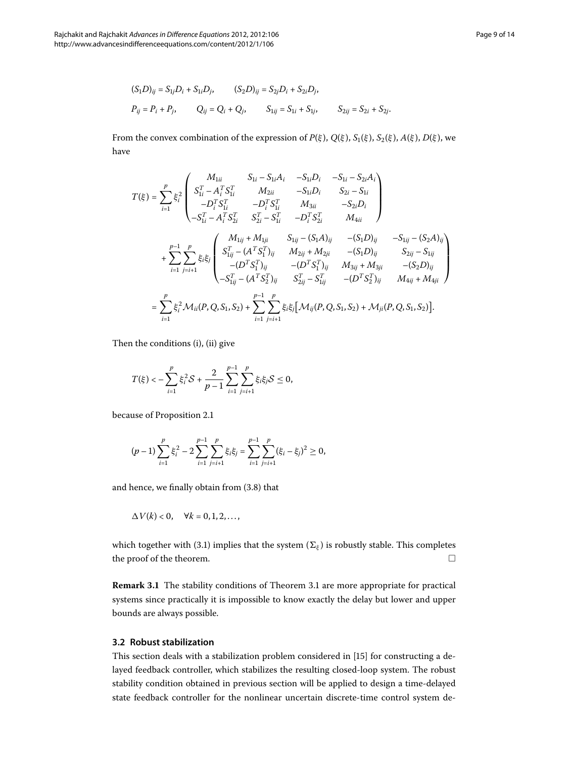$$
(S_1D)_{ij} = S_{1j}D_i + S_{1i}D_j, \t (S_2D)_{ij} = S_{2j}D_i + S_{2i}D_j,
$$
  

$$
P_{ij} = P_i + P_j, \t Q_{ij} = Q_i + Q_j, \t S_{1ij} = S_{1i} + S_{1j}, \t S_{2ij} = S_{2i} + S_{2j}.
$$

From the convex combination of the expression of  $P(\xi)$ ,  $Q(\xi)$ ,  $S_1(\xi)$ ,  $S_2(\xi)$ ,  $A(\xi)$ ,  $D(\xi)$ , we have

$$
T(\xi) = \sum_{i=1}^{p} \xi_{i}^{2} \begin{pmatrix} M_{1ii} & S_{1i} - S_{1i}A_{i} & -S_{1i}D_{i} & -S_{1i} - S_{2i}A_{i} \\ S_{1i}^{T} - A_{i}^{T}S_{1i}^{T} & M_{2ii} & -S_{1i}D_{i} & S_{2i} - S_{1i} \\ -D_{i}^{T}S_{1i}^{T} & -D_{i}^{T}S_{1i}^{T} & M_{3ii} & -S_{2i}D_{i} \\ -S_{1i}^{T} - A_{i}^{T}S_{2i}^{T} & S_{2i}^{T} - S_{1i}^{T} & -D_{i}^{T}S_{2i}^{T} & M_{4ii} \end{pmatrix}
$$
  
+ 
$$
\sum_{i=1}^{p-1} \sum_{j=i+1}^{p} \xi_{i}\xi_{j} \begin{pmatrix} M_{1ij} + M_{1ji} & S_{1ij} - (S_{1}A)_{ij} & -(S_{1}D)_{ij} & -S_{1ij} - (S_{2}A)_{ij} \\ S_{1ij}^{T} - (A^{T}S_{1}^{T})_{ij} & M_{2ij} + M_{2ji} & -(S_{1}D)_{ij} & S_{2ij} - S_{1ij} \\ -(D^{T}S_{1}^{T})_{ij} & - (D^{T}S_{1}^{T})_{ij} & M_{3ij} + M_{3ji} & -(S_{2}D)_{ij} \\ -S_{1ij}^{T} - (A^{T}S_{2}^{T})_{ij} & S_{2ij}^{T} - S_{1ij}^{T} & -(D^{T}S_{2}^{T})_{ij} & M_{4ij} + M_{4ji} \end{pmatrix}
$$
  
= 
$$
\sum_{i=1}^{p} \xi_{i}^{2} \mathcal{M}_{ii}(P, Q, S_{1}, S_{2}) + \sum_{i=1}^{p-1} \sum_{j=i+1}^{p} \xi_{i}\xi_{j} [\mathcal{M}_{ij}(P, Q, S_{1}, S_{2}) + \mathcal{M}_{ji}(P, Q, S_{1}, S_{2})].
$$

Then the conditions (i), (ii) give

$$
T(\xi) < -\sum_{i=1}^{p} \xi_i^2 \mathcal{S} + \frac{2}{p-1} \sum_{i=1}^{p-1} \sum_{j=i+1}^{p} \xi_i \xi_j \mathcal{S} \le 0,
$$

because of Proposition 2[.](#page-2-3)1

$$
(p-1)\sum_{i=1}^p\xi_i^2-2\sum_{i=1}^{p-1}\sum_{j=i+1}^p\xi_i\xi_j=\sum_{i=1}^{p-1}\sum_{j=i+1}^p(\xi_i-\xi_j)^2\geq 0,
$$

and hence, we finally obtain from  $(3.8)$  that

$$
\Delta V(k) < 0, \quad \forall k = 0, 1, 2, \ldots,
$$

which together with (3[.](#page-4-1)1) implies that the system ( $\Sigma_{\varepsilon}$ ) is robustly stable. This completes the proof of the theorem.  $\Box$ 

**Remark 3[.](#page-3-3)1** The stability conditions of Theorem 3.1 are more appropriate for practical systems since practically it is impossible to know exactly the delay but lower and upper bounds are always possible.

#### **3.2 Robust stabilization**

This section deals with a stabilization problem considered in [\[](#page-13-7)15] for constructing a delayed feedback controller, which stabilizes the resulting closed-loop system. The robust stability condition obtained in previous section will be applied to design a time-delayed state feedback controller for the nonlinear uncertain discrete-time control system de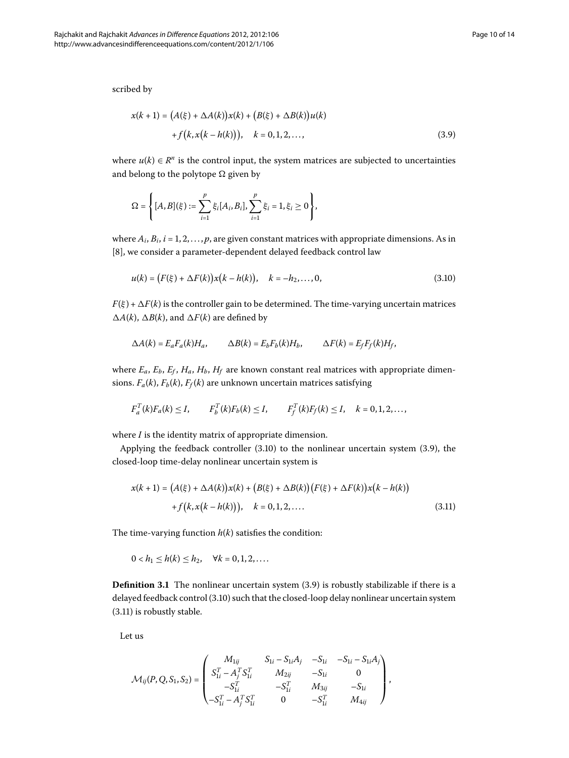<span id="page-9-1"></span>scribed by

$$
x(k + 1) = (A(\xi) + \Delta A(k))x(k) + (B(\xi) + \Delta B(k))u(k) + f(k, x(k - h(k))), \quad k = 0, 1, 2, ...,
$$
\n(3.9)

where  $u(k) \in \mathbb{R}^n$  is the control input, the system matrices are subjected to uncertainties and belong to the polytope  $\Omega$  given by

<span id="page-9-0"></span>
$$
\Omega = \left\{ [A, B](\xi) := \sum_{i=1}^p \xi_i [A_i, B_i], \sum_{i=1}^p \xi_i = 1, \xi_i \ge 0 \right\},\
$$

where  $A_i$ ,  $B_i$ ,  $i = 1, 2, \ldots, p$ , are given constant matrices with appropriate dimensions. As in [8[\]](#page-12-1), we consider a parameter-dependent delayed feedback control law

$$
u(k) = (F(\xi) + \Delta F(k))x(k - h(k)), \quad k = -h_2, ..., 0,
$$
\n(3.10)

 $F(\xi) + \Delta F(k)$  is the controller gain to be determined. The time-varying uncertain matrices  $\Delta A(k)$ ,  $\Delta B(k)$ , and  $\Delta F(k)$  are defined by

$$
\Delta A(k) = E_a F_a(k) H_a, \qquad \Delta B(k) = E_b F_b(k) H_b, \qquad \Delta F(k) = E_f F_f(k) H_f,
$$

<span id="page-9-2"></span>where  $E_a$ ,  $E_b$ ,  $E_f$ ,  $H_a$ ,  $H_b$ ,  $H_f$  are known constant real matrices with appropriate dimensions.  $F_a(k)$ ,  $F_b(k)$ ,  $F_f(k)$  are unknown uncertain matrices satisfying

$$
F_d^T(k)F_a(k) \leq I, \qquad F_b^T(k)F_b(k) \leq I, \qquad F_f^T(k)F_f(k) \leq I, \quad k = 0, 1, 2, \ldots,
$$

where *I* is the identity matrix of appropriate dimension.

Applying the feedback controller  $(3.10)$  $(3.10)$  $(3.10)$  to the nonlinear uncertain system  $(3.9)$ , the closed-loop time-delay nonlinear uncertain system is

$$
x(k+1) = (A(\xi) + \Delta A(k))x(k) + (B(\xi) + \Delta B(k))(F(\xi) + \Delta F(k))x(k - h(k))
$$
  
+  $f(k, x(k - h(k))), k = 0, 1, 2, ...$  (3.11)

The time-varying function  $h(k)$  satisfies the condition:

 $0 < h_1 \le h(k) \le h_2$ ,  $\forall k = 0, 1, 2, \ldots$ .

**Definition 3.1** The nonlinear uncertain system (3.9) is robustly stabilizable if there is a delayed feedback control (3[.](#page-9-0)10) such that the closed-loop delay nonlinear uncertain system  $(3.11)$  $(3.11)$  $(3.11)$  is robustly stable.

Let us

$$
\mathcal{M}_{ij}(P,Q,S_1,S_2) = \begin{pmatrix}\nM_{1ij} & S_{1i} - S_{1i}A_j & -S_{1i} & -S_{1i} - S_{1i}A_j \\
S_{1i}^T - A_j^T S_{1i}^T & M_{2ij} & -S_{1i} & 0 \\
-S_{1i}^T & -S_{1i}^T & M_{3ij} & -S_{1i} \\
-S_{1i}^T - A_j^T S_{1i}^T & 0 & -S_{1i}^T & M_{4ij}\n\end{pmatrix},
$$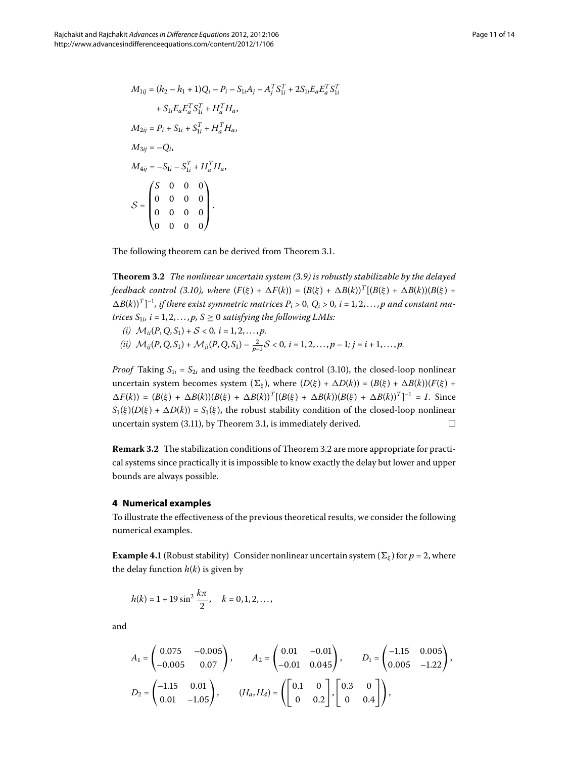$$
M_{1ij} = (h_2 - h_1 + 1)Q_i - P_i - S_{1i}A_j - A_j^T S_{1i}^T + 2S_{1i}E_a E_a^T S_{1i}^T
$$
  
+  $S_{1i}E_a E_a^T S_{1i}^T + H_a^T H_a$ ,  

$$
M_{2ij} = P_i + S_{1i} + S_{1i}^T + H_a^T H_a
$$
,  

$$
M_{3ij} = -Q_i
$$
,  

$$
M_{4ij} = -S_{1i} - S_{1i}^T + H_a^T H_a
$$
,  

$$
S = \begin{pmatrix} S & 0 & 0 & 0 \\ 0 & 0 & 0 & 0 \\ 0 & 0 & 0 & 0 \\ 0 & 0 & 0 & 0 \\ 0 & 0 & 0 & 0 \end{pmatrix}.
$$

<span id="page-10-1"></span>The following theorem can be derived from Theorem 3[.](#page-3-3)1.

**Theorem .** *The nonlinear uncertain system ([.](#page-9-1)) is robustly stabilizable by the delayed feedback control (3.10), where*  $(F(\xi) + \Delta F(k)) = (B(\xi) + \Delta B(k))^T [(B(\xi) + \Delta B(k))(B(\xi) +$  $\Delta B(k)$ <sup>T</sup>]<sup>-1</sup>, if there exist symmetric matrices  $P_i > 0$ ,  $Q_i > 0$ ,  $i = 1, 2, \ldots, p$  and constant ma*trices*  $S_{1i}$ ,  $i = 1, 2, ..., p$ ,  $S \ge 0$  *satisfying the following LMIs:* 

- *(i)*  $\mathcal{M}_{ii}(P, Q, S_1) + S < 0, i = 1, 2, ..., p$ .
- $(iii)$   $\mathcal{M}_{ij}(P,Q,S_1) + \mathcal{M}_{ji}(P,Q,S_1) \frac{2}{p-1}S < 0, i = 1,2,\ldots,p-1; j = i+1,\ldots,p.$

*Proof* Taking  $S_{1i} = S_{2i}$  and using the feedback control (3[.](#page-9-0)10), the closed-loop nonlinear uncertain system becomes system  $(\Sigma_{\xi})$ , where  $(D(\xi) + \Delta D(k)) = (B(\xi) + \Delta B(k))(F(\xi) +$  $\Delta F(k) = (B(\xi) + \Delta B(k))(B(\xi) + \Delta B(k))^T [(B(\xi) + \Delta B(k))(B(\xi) + \Delta B(k))^T]^{-1} = I.$  Since  $S_1(\xi)(D(\xi) + \Delta D(k)) = S_1(\xi)$ , the robust stability condition of the closed-loop nonlinear uncertain system (3.11), by Theorem 3.1, is immediately derived.  $\Box$ 

<span id="page-10-0"></span>**Remark 3[.](#page-10-1)2** The stabilization conditions of Theorem 3.2 are more appropriate for practical systems since practically it is impossible to know exactly the delay but lower and upper bounds are always possible.

#### **4 Numerical examples**

To illustrate the effectiveness of the previous theoretical results, we consider the following numerical examples.

**Example 4.1** (Robust stability) Consider nonlinear uncertain system ( $\Sigma_{\varepsilon}$ ) for  $p = 2$ , where the delay function  $h(k)$  is given by

$$
h(k) = 1 + 19 \sin^2 \frac{k\pi}{2}, \quad k = 0, 1, 2, \dots,
$$

and

$$
A_1 = \begin{pmatrix} 0.075 & -0.005 \\ -0.005 & 0.07 \end{pmatrix}, \qquad A_2 = \begin{pmatrix} 0.01 & -0.01 \\ -0.01 & 0.045 \end{pmatrix}, \qquad D_1 = \begin{pmatrix} -1.15 & 0.005 \\ 0.005 & -1.22 \end{pmatrix},
$$
  

$$
D_2 = \begin{pmatrix} -1.15 & 0.01 \\ 0.01 & -1.05 \end{pmatrix}, \qquad (H_a, H_d) = \begin{pmatrix} 0.1 & 0 \\ 0 & 0.2 \end{pmatrix}, \begin{bmatrix} 0.3 & 0 \\ 0 & 0.4 \end{bmatrix},
$$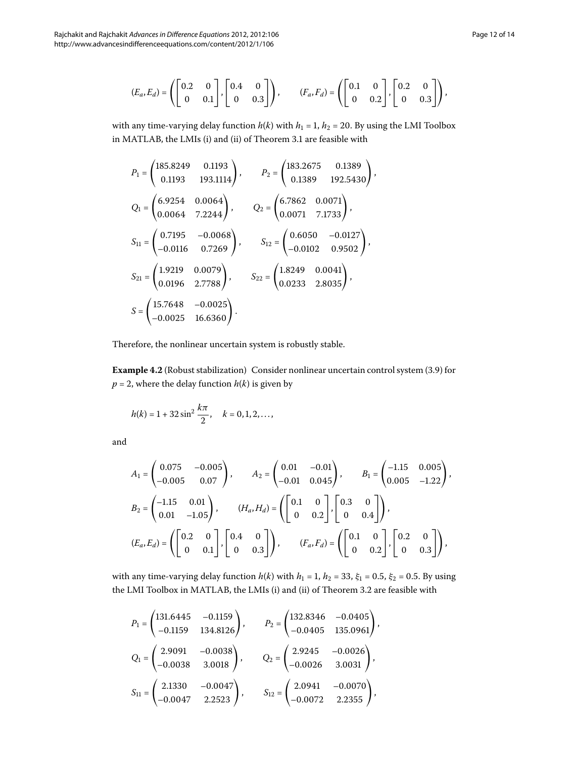$$
(E_a, E_d) = \left( \begin{bmatrix} 0.2 & 0 \\ 0 & 0.1 \end{bmatrix}, \begin{bmatrix} 0.4 & 0 \\ 0 & 0.3 \end{bmatrix} \right), \qquad (F_a, F_d) = \left( \begin{bmatrix} 0.1 & 0 \\ 0 & 0.2 \end{bmatrix}, \begin{bmatrix} 0.2 & 0 \\ 0 & 0.3 \end{bmatrix} \right),
$$

with any time-varying delay function  $h(k)$  with  $h_1 = 1$ ,  $h_2 = 20$ . By using the LMI Toolbox in MATLAB, the LMIs (i) and (ii) of Theorem 3[.](#page-3-3)1 are feasible with

$$
P_1 = \begin{pmatrix} 185.8249 & 0.1193 \\ 0.1193 & 193.1114 \end{pmatrix}, \qquad P_2 = \begin{pmatrix} 183.2675 & 0.1389 \\ 0.1389 & 192.5430 \end{pmatrix},
$$
  
\n
$$
Q_1 = \begin{pmatrix} 6.9254 & 0.0064 \\ 0.0064 & 7.2244 \end{pmatrix}, \qquad Q_2 = \begin{pmatrix} 6.7862 & 0.0071 \\ 0.0071 & 7.1733 \end{pmatrix},
$$
  
\n
$$
S_{11} = \begin{pmatrix} 0.7195 & -0.0068 \\ -0.0116 & 0.7269 \end{pmatrix}, \qquad S_{12} = \begin{pmatrix} 0.6050 & -0.0127 \\ -0.0102 & 0.9502 \end{pmatrix},
$$
  
\n
$$
S_{21} = \begin{pmatrix} 1.9219 & 0.0079 \\ 0.0196 & 2.7788 \end{pmatrix}, \qquad S_{22} = \begin{pmatrix} 1.8249 & 0.0041 \\ 0.0233 & 2.8035 \end{pmatrix},
$$
  
\n
$$
S = \begin{pmatrix} 15.7648 & -0.0025 \\ -0.0025 & 16.6360 \end{pmatrix}.
$$

Therefore, the nonlinear uncertain system is robustly stable.

**Example 4.2** (Robust stabilization) Consider nonlinear uncertain control system (3.9) for  $p = 2$ , where the delay function  $h(k)$  is given by

$$
h(k) = 1 + 32 \sin^2 \frac{k\pi}{2}, \quad k = 0, 1, 2, \dots,
$$

and

$$
A_1 = \begin{pmatrix} 0.075 & -0.005 \\ -0.005 & 0.07 \end{pmatrix}, \qquad A_2 = \begin{pmatrix} 0.01 & -0.01 \\ -0.01 & 0.045 \end{pmatrix}, \qquad B_1 = \begin{pmatrix} -1.15 & 0.005 \\ 0.005 & -1.22 \end{pmatrix},
$$
  
\n
$$
B_2 = \begin{pmatrix} -1.15 & 0.01 \\ 0.01 & -1.05 \end{pmatrix}, \qquad (H_a, H_d) = \begin{pmatrix} 0.1 & 0 \\ 0 & 0.2 \end{pmatrix}, \begin{bmatrix} 0.3 & 0 \\ 0 & 0.4 \end{bmatrix},
$$
  
\n
$$
(E_a, E_d) = \begin{pmatrix} 0.2 & 0 \\ 0 & 0.1 \end{pmatrix}, \begin{bmatrix} 0.4 & 0 \\ 0 & 0.3 \end{bmatrix}, \qquad (F_a, F_d) = \begin{pmatrix} 0.1 & 0 \\ 0 & 0.2 \end{pmatrix}, \begin{bmatrix} 0.2 & 0 \\ 0 & 0.3 \end{bmatrix}.
$$

with any time-varying delay function  $h(k)$  with  $h_1 = 1$ ,  $h_2 = 33$ ,  $\xi_1 = 0.5$ ,  $\xi_2 = 0.5$ . By using the LMI Toolbox in MATLAB, the LMIs (i) and (ii) of Theorem 3[.](#page-10-1)2 are feasible with

$$
P_1 = \begin{pmatrix} 131.6445 & -0.1159 \\ -0.1159 & 134.8126 \end{pmatrix}, \qquad P_2 = \begin{pmatrix} 132.8346 & -0.0405 \\ -0.0405 & 135.0961 \end{pmatrix},
$$
  
\n
$$
Q_1 = \begin{pmatrix} 2.9091 & -0.0038 \\ -0.0038 & 3.0018 \end{pmatrix}, \qquad Q_2 = \begin{pmatrix} 2.9245 & -0.0026 \\ -0.0026 & 3.0031 \end{pmatrix},
$$
  
\n
$$
S_{11} = \begin{pmatrix} 2.1330 & -0.0047 \\ -0.0047 & 2.2523 \end{pmatrix}, \qquad S_{12} = \begin{pmatrix} 2.0941 & -0.0070 \\ -0.0072 & 2.2355 \end{pmatrix},
$$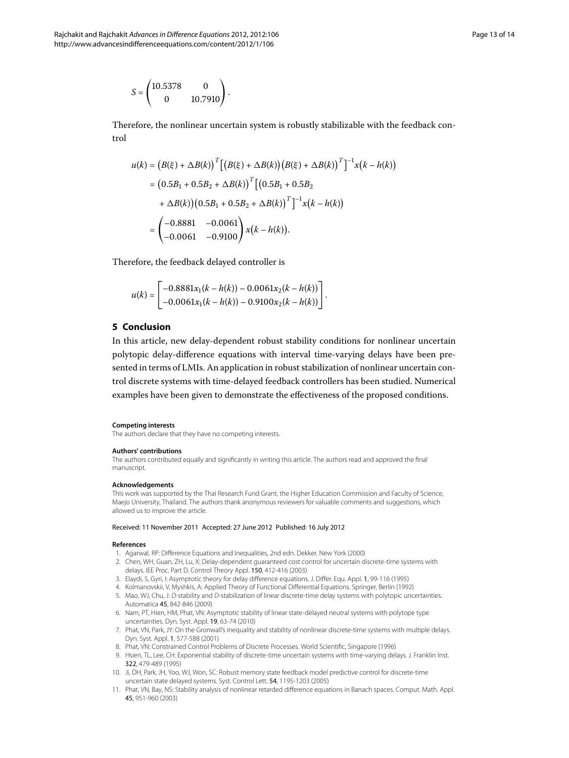$$
S = \begin{pmatrix} 10.5378 & 0 \\ 0 & 10.7910 \end{pmatrix}.
$$

Therefore, the nonlinear uncertain system is robustly stabilizable with the feedback control

$$
u(k) = (B(\xi) + \Delta B(k))^{T} [(B(\xi) + \Delta B(k)) (B(\xi) + \Delta B(k))^{T}]^{-1} x(k - h(k))
$$
  
= (0.5B<sub>1</sub> + 0.5B<sub>2</sub> +  $\Delta B(k)$ )<sup>T</sup> [(0.5B<sub>1</sub> + 0.5B<sub>2</sub>  
+  $\Delta B(k)$ )(0.5B<sub>1</sub> + 0.5B<sub>2</sub> +  $\Delta B(k)$ )<sup>T</sup>]<sup>-1</sup>x(k - h(k))  
=  $\begin{pmatrix} -0.8881 & -0.0061 \\ -0.0061 & -0.9100 \end{pmatrix} x(k - h(k)).$ 

Therefore, the feedback delayed controller is

$$
u(k) = \begin{bmatrix} -0.8881x_1(k-h(k)) - 0.0061x_2(k-h(k)) \\ -0.0061x_1(k-h(k)) - 0.9100x_2(k-h(k)) \end{bmatrix}.
$$

#### **5 Conclusion**

In this article, new delay-dependent robust stability conditions for nonlinear uncertain polytopic delay-difference equations with interval time-varying delays have been presented in terms of LMIs. An application in robust stabilization of nonlinear uncertain control discrete systems with time-delayed feedback controllers has been studied. Numerical examples have been given to demonstrate the effectiveness of the proposed conditions.

#### **Competing interests**

The authors declare that they have no competing interests.

#### **Authors' contributions**

<span id="page-12-0"></span>The authors contributed equally and significantly in writing this article. The authors read and approved the final manuscript.

#### <span id="page-12-2"></span>**Acknowledgements**

This work was supported by the Thai Research Fund Grant, the Higher Education Commission and Faculty of Science, Maejo University, Thailand. The authors thank anonymous reviewers for valuable comments and suggestions, which allowed us to improve the article.

#### <span id="page-12-3"></span>Received: 11 November 2011 Accepted: 27 June 2012 Published: 16 July 2012

#### <span id="page-12-1"></span>**References**

- 1. Agarwal, RP: Difference Equations and Inequalities, 2nd edn. Dekker, New York (2000)
- <span id="page-12-4"></span>2. Chen, WH, Guan, ZH, Lu, X: Delay-dependent guaranteed cost control for uncertain discrete-time systems with delays. IEE Proc. Part D. Control Theory Appl. 150, 412-416 (2003)
- 3. Elaydi, S, Gyri, I: Asymptotic theory for delay difference equations. J. Differ. Equ. Appl. 1, 99-116 (1995)
- 4. Kolmanovskii, V, Myshkis, A: Applied Theory of Functional Differential Equations. Springer, Berlin (1992)
- <span id="page-12-5"></span>5. Mao, WJ, Chu, J: D-stability and D-stabilization of linear discrete-time delay systems with polytopic uncertainties. Automatica 45, 842-846 (2009)
- 6. Nam, PT, Hien, HM, Phat, VN: Asymptotic stability of linear state-delayed neutral systems with polytope type uncertainties. Dyn. Syst. Appl. 19, 63-74 (2010)
- 7. Phat, VN, Park, JY: On the Gronwall's inequality and stability of nonlinear discrete-time systems with multiple delays. Dyn. Syst. Appl. 1, 577-588 (2001)
- 8. Phat, VN: Constrained Control Problems of Discrete Processes. World Scientific, Singapore (1996)
- 9. Hsien, TL, Lee, CH: Exponential stability of discrete-time uncertain systems with time-varying delays. J. Franklin Inst. 322, 479-489 (1995)
- 10. Ji, DH, Park, JH, Yoo, WJ, Won, SC: Robust memory state feedback model predictive control for discrete-time uncertain state delayed systems. Syst. Control Lett. 54, 1195-1203 (2005)
- 11. Phat, VN, Bay, NS: Stability analysis of nonlinear retarded difference equations in Banach spaces. Comput. Math. Appl. 45, 951-960 (2003)